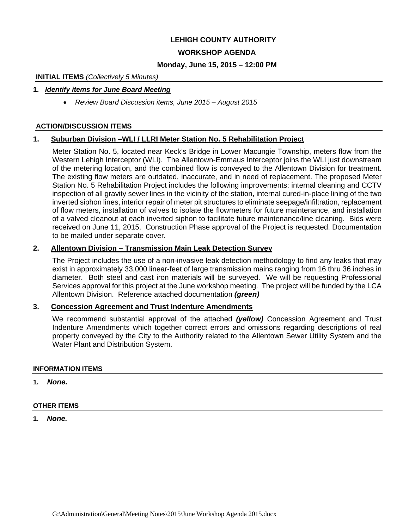# **LEHIGH COUNTY AUTHORITY**

# **WORKSHOP AGENDA**

#### **Monday, June 15, 2015 – 12:00 PM**

#### **INITIAL ITEMS** *(Collectively 5 Minutes)*

#### **1.** *Identify items for June Board Meeting*

*Review Board Discussion items, June 2015 – August 2015* 

#### **ACTION/DISCUSSION ITEMS**

#### **1. Suburban Division –WLI / LLRI Meter Station No. 5 Rehabilitation Project**

Meter Station No. 5, located near Keck's Bridge in Lower Macungie Township, meters flow from the Western Lehigh Interceptor (WLI). The Allentown-Emmaus Interceptor joins the WLI just downstream of the metering location, and the combined flow is conveyed to the Allentown Division for treatment. The existing flow meters are outdated, inaccurate, and in need of replacement. The proposed Meter Station No. 5 Rehabilitation Project includes the following improvements: internal cleaning and CCTV inspection of all gravity sewer lines in the vicinity of the station, internal cured-in-place lining of the two inverted siphon lines, interior repair of meter pit structures to eliminate seepage/infiltration, replacement of flow meters, installation of valves to isolate the flowmeters for future maintenance, and installation of a valved cleanout at each inverted siphon to facilitate future maintenance/line cleaning. Bids were received on June 11, 2015. Construction Phase approval of the Project is requested. Documentation to be mailed under separate cover.

#### **2. Allentown Division – Transmission Main Leak Detection Survey**

The Project includes the use of a non-invasive leak detection methodology to find any leaks that may exist in approximately 33,000 linear-feet of large transmission mains ranging from 16 thru 36 inches in diameter. Both steel and cast iron materials will be surveyed. We will be requesting Professional Services approval for this project at the June workshop meeting. The project will be funded by the LCA Allentown Division. Reference attached documentation *(green)* 

#### **3. Concession Agreement and Trust Indenture Amendments**

We recommend substantial approval of the attached *(yellow)* Concession Agreement and Trust Indenture Amendments which together correct errors and omissions regarding descriptions of real property conveyed by the City to the Authority related to the Allentown Sewer Utility System and the Water Plant and Distribution System.

#### **INFORMATION ITEMS**

**1.** *None.* 

#### **OTHER ITEMS**

**1.** *None.*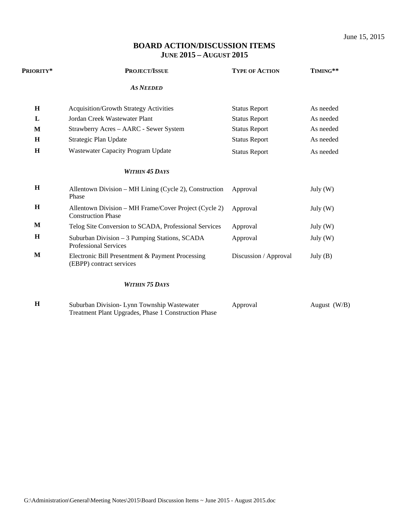# **BOARD ACTION/DISCUSSION ITEMS JUNE 2015 – AUGUST 2015**

| Priority*   | <b>PROJECT/ISSUE</b>                                                               | <b>TYPE OF ACTION</b> | TIMING**   |  |
|-------------|------------------------------------------------------------------------------------|-----------------------|------------|--|
|             | <b>AS NEEDED</b>                                                                   |                       |            |  |
| H           | <b>Acquisition/Growth Strategy Activities</b>                                      | <b>Status Report</b>  | As needed  |  |
| L           | Jordan Creek Wastewater Plant                                                      | <b>Status Report</b>  | As needed  |  |
| M           | Strawberry Acres - AARC - Sewer System                                             | <b>Status Report</b>  | As needed  |  |
| H           | Strategic Plan Update                                                              | <b>Status Report</b>  | As needed  |  |
| H           | Wastewater Capacity Program Update                                                 | <b>Status Report</b>  | As needed  |  |
|             | <b>WITHIN 45 DAYS</b>                                                              |                       |            |  |
| H           | Allentown Division – MH Lining (Cycle 2), Construction<br>Phase                    | Approval              | July $(W)$ |  |
| $\mathbf H$ | Allentown Division – MH Frame/Cover Project (Cycle 2)<br><b>Construction Phase</b> | Approval              | July $(W)$ |  |
| M           | Telog Site Conversion to SCADA, Professional Services                              | Approval              | July $(W)$ |  |
| H           | Suburban Division - 3 Pumping Stations, SCADA<br><b>Professional Services</b>      | Approval              | July $(W)$ |  |
| M           | Electronic Bill Presentment & Payment Processing<br>(EBPP) contract services       | Discussion / Approval | July $(B)$ |  |
|             | <b>WITHIN 75 DAYS</b>                                                              |                       |            |  |

**H** Suburban Division- Lynn Township Wastewater Treatment Plant Upgrades, Phase 1 Construction Phase Approval August (W/B)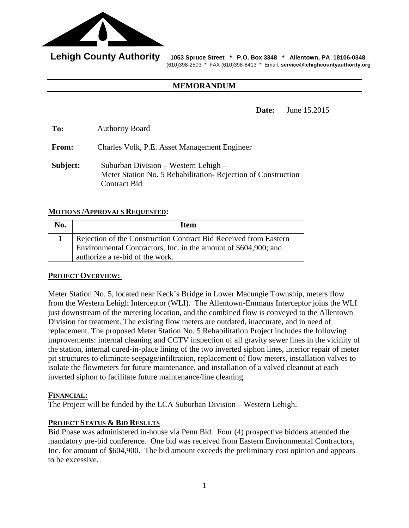

Lehigh County Authority 1053 Spruce Street \* P.O. Box 3348 \* Allentown, PA 18106-0348 (610)398-2503 \* FAX (610)398-8413 \* Email: **service@lehighcountyauthority.org** 

#### **MEMORANDUM**

**Date:** June 15.2015

**To:** Authority Board

**From:** Charles Volk, P.E. Asset Management Engineer

**Subject:** Suburban Division – Western Lehigh – Meter Station No. 5 Rehabilitation- Rejection of Construction Contract Bid

# **MOTIONS /APPROVALS REQUESTED:**

| No. | Item                                                                                               |
|-----|----------------------------------------------------------------------------------------------------|
|     | Rejection of the Construction Contract Bid Received from Eastern                                   |
|     | Environmental Contractors, Inc. in the amount of \$604,900; and<br>authorize a re-bid of the work. |

# **PROJECT OVERVIEW:**

Meter Station No. 5, located near Keck's Bridge in Lower Macungie Township, meters flow from the Western Lehigh Interceptor (WLI). The Allentown-Emmaus Interceptor joins the WLI just downstream of the metering location, and the combined flow is conveyed to the Allentown Division for treatment. The existing flow meters are outdated, inaccurate, and in need of replacement. The proposed Meter Station No. 5 Rehabilitation Project includes the following improvements: internal cleaning and CCTV inspection of all gravity sewer lines in the vicinity of the station, internal cured-in-place lining of the two inverted siphon lines, interior repair of meter pit structures to eliminate seepage/infiltration, replacement of flow meters, installation valves to isolate the flowmeters for future maintenance, and installation of a valved cleanout at each inverted siphon to facilitate future maintenance/line cleaning.

#### **FINANCIAL:**

The Project will be funded by the LCA Suburban Division – Western Lehigh.

#### **PROJECT STATUS & BID RESULTS**

Bid Phase was administered in-house via Penn Bid. Four (4) prospective bidders attended the mandatory pre-bid conference. One bid was received from Eastern Environmental Contractors, Inc. for amount of \$604,900. The bid amount exceeds the preliminary cost opinion and appears to be excessive.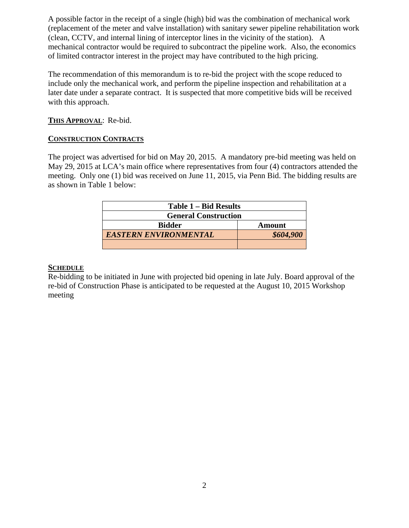A possible factor in the receipt of a single (high) bid was the combination of mechanical work (replacement of the meter and valve installation) with sanitary sewer pipeline rehabilitation work (clean, CCTV, and internal lining of interceptor lines in the vicinity of the station). A mechanical contractor would be required to subcontract the pipeline work. Also, the economics of limited contractor interest in the project may have contributed to the high pricing.

The recommendation of this memorandum is to re-bid the project with the scope reduced to include only the mechanical work, and perform the pipeline inspection and rehabilitation at a later date under a separate contract. It is suspected that more competitive bids will be received with this approach.

# **THIS APPROVAL**: Re-bid.

# **CONSTRUCTION CONTRACTS**

The project was advertised for bid on May 20, 2015. A mandatory pre-bid meeting was held on May 29, 2015 at LCA's main office where representatives from four (4) contractors attended the meeting. Only one (1) bid was received on June 11, 2015, via Penn Bid. The bidding results are as shown in Table 1 below:

| Table 1 – Bid Results        |           |  |
|------------------------------|-----------|--|
| <b>General Construction</b>  |           |  |
| <b>Bidder</b>                | Amount    |  |
| <b>EASTERN ENVIRONMENTAL</b> | \$604,900 |  |
|                              |           |  |

# **SCHEDULE**

Re-bidding to be initiated in June with projected bid opening in late July. Board approval of the re-bid of Construction Phase is anticipated to be requested at the August 10, 2015 Workshop meeting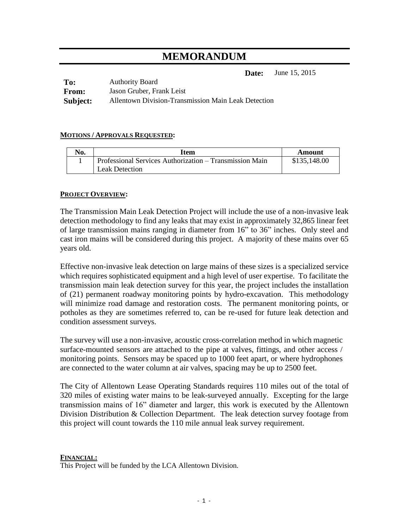# **MEMORANDUM**

**Date:** June 15, 2015

| To:          | <b>Authority Board</b>                              |
|--------------|-----------------------------------------------------|
| <b>From:</b> | Jason Gruber, Frank Leist                           |
| Subject:     | Allentown Division-Transmission Main Leak Detection |

# **MOTIONS / APPROVALS REQUESTED:**

| No. | Item                                                    | Amount       |
|-----|---------------------------------------------------------|--------------|
|     | Professional Services Authorization – Transmission Main | \$135,148.00 |
|     | Leak Detection                                          |              |

# **PROJECT OVERVIEW:**

The Transmission Main Leak Detection Project will include the use of a non-invasive leak detection methodology to find any leaks that may exist in approximately 32,865 linear feet of large transmission mains ranging in diameter from 16" to 36" inches. Only steel and cast iron mains will be considered during this project. A majority of these mains over 65 years old.

Effective non-invasive leak detection on large mains of these sizes is a specialized service which requires sophisticated equipment and a high level of user expertise. To facilitate the transmission main leak detection survey for this year, the project includes the installation of (21) permanent roadway monitoring points by hydro-excavation. This methodology will minimize road damage and restoration costs. The permanent monitoring points, or potholes as they are sometimes referred to, can be re-used for future leak detection and condition assessment surveys.

The survey will use a non-invasive, acoustic cross-correlation method in which magnetic surface-mounted sensors are attached to the pipe at valves, fittings, and other access / monitoring points. Sensors may be spaced up to 1000 feet apart, or where hydrophones are connected to the water column at air valves, spacing may be up to 2500 feet.

The City of Allentown Lease Operating Standards requires 110 miles out of the total of 320 miles of existing water mains to be leak-surveyed annually. Excepting for the large transmission mains of 16" diameter and larger, this work is executed by the Allentown Division Distribution & Collection Department. The leak detection survey footage from this project will count towards the 110 mile annual leak survey requirement.

#### **FINANCIAL:**

This Project will be funded by the LCA Allentown Division.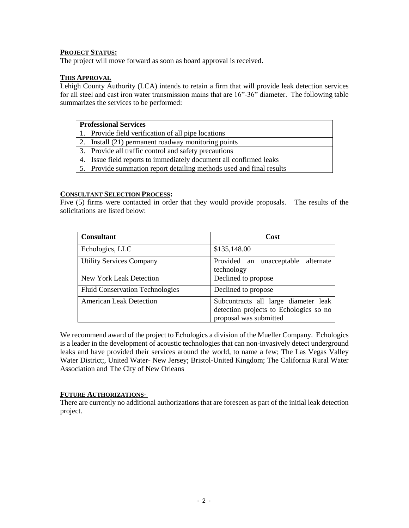#### **PROJECT STATUS:**

The project will move forward as soon as board approval is received.

#### **THIS APPROVAL**

Lehigh County Authority (LCA) intends to retain a firm that will provide leak detection services for all steel and cast iron water transmission mains that are 16"-36" diameter. The following table summarizes the services to be performed:

| <b>Professional Services</b>                                         |
|----------------------------------------------------------------------|
| 1. Provide field verification of all pipe locations                  |
| 2. Install (21) permanent roadway monitoring points                  |
| 3. Provide all traffic control and safety precautions                |
| 4. Issue field reports to immediately document all confirmed leaks   |
| 5. Provide summation report detailing methods used and final results |
|                                                                      |

#### **CONSULTANT SELECTION PROCESS:**

Five (5) firms were contacted in order that they would provide proposals. The results of the solicitations are listed below:

| <b>Consultant</b>                      | Cost                                                                                                     |  |  |
|----------------------------------------|----------------------------------------------------------------------------------------------------------|--|--|
| Echologics, LLC                        | \$135,148.00                                                                                             |  |  |
| <b>Utility Services Company</b>        | Provided an unacceptable alternate<br>technology                                                         |  |  |
| New York Leak Detection                | Declined to propose                                                                                      |  |  |
| <b>Fluid Conservation Technologies</b> | Declined to propose                                                                                      |  |  |
| <b>American Leak Detection</b>         | Subcontracts all large diameter leak<br>detection projects to Echologics so no<br>proposal was submitted |  |  |

We recommend award of the project to Echologics a division of the Mueller Company. Echologics is a leader in the development of acoustic technologies that can non-invasively detect underground leaks and have provided their services around the world, to name a few; The Las Vegas Valley Water District;, United Water- New Jersey; Bristol-United Kingdom; The California Rural Water Association and The City of New Orleans

#### **FUTURE AUTHORIZATIONS-**

There are currently no additional authorizations that are foreseen as part of the initial leak detection project.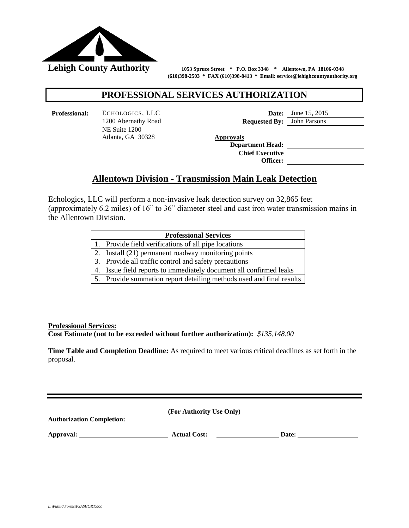

 **(610)398-2503 \* FAX (610)398-8413 \* Email: service@lehighcountyauthority.org**

# **PROFESSIONAL SERVICES AUTHORIZATION**

**Professional:** ECHOLOGICS, LLC **Date:** June 15, 2015 NE Suite 1200 Atlanta, GA 30328 **Approvals**

1200 Abernathy Road **Requested By:** John Parsons

**Department Head: Chief Executive Officer:**

# **Allentown Division - Transmission Main Leak Detection**

Echologics, LLC will perform a non-invasive leak detection survey on 32,865 feet (approximately 6.2 miles) of 16" to 36" diameter steel and cast iron water transmission mains in the Allentown Division.

| <b>Professional Services</b> |                                                                      |  |
|------------------------------|----------------------------------------------------------------------|--|
|                              | 1. Provide field verifications of all pipe locations                 |  |
| 2.                           | Install (21) permanent roadway monitoring points                     |  |
|                              | 3. Provide all traffic control and safety precautions                |  |
| 4.                           | Issue field reports to immediately document all confirmed leaks      |  |
|                              | 5. Provide summation report detailing methods used and final results |  |

**Professional Services:**

**Cost Estimate (not to be exceeded without further authorization):** *\$135,148.00*

**Time Table and Completion Deadline:** As required to meet various critical deadlines as set forth in the proposal.

**(For Authority Use Only) Authorization Completion: Approval: Actual Cost: Date:**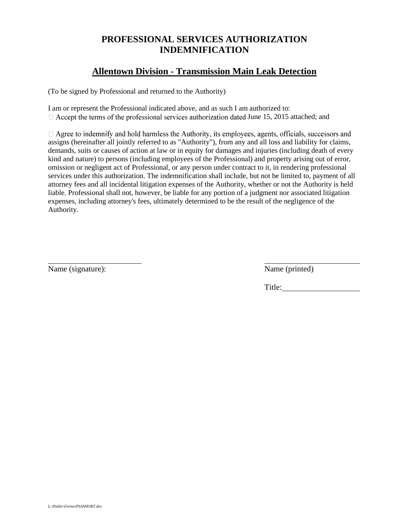# **PROFESSIONAL SERVICES AUTHORIZATION INDEMNIFICATION**

# **Allentown Division - Transmission Main Leak Detection**

(To be signed by Professional and returned to the Authority)

I am or represent the Professional indicated above, and as such I am authorized to:  $\Box$  Accept the terms of the professional services authorization dated June 15, 2015 attached; and

 $\Box$  Agree to indemnify and hold harmless the Authority, its employees, agents, officials, successors and assigns (hereinafter all jointly referred to as "Authority"), from any and all loss and liability for claims, demands, suits or causes of action at law or in equity for damages and injuries (including death of every kind and nature) to persons (including employees of the Professional) and property arising out of error, omission or negligent act of Professional, or any person under contract to it, in rendering professional services under this authorization. The indemnification shall include, but not be limited to, payment of all attorney fees and all incidental litigation expenses of the Authority, whether or not the Authority is held liable. Professional shall not, however, be liable for any portion of a judgment nor associated litigation expenses, including attorney's fees, ultimately determined to be the result of the negligence of the Authority.

Name (signature): Name (printed)

l

Title: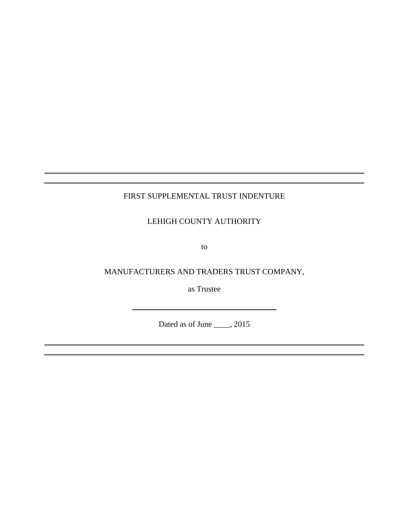# FIRST SUPPLEMENTAL TRUST INDENTURE

LEHIGH COUNTY AUTHORITY

to

MANUFACTURERS AND TRADERS TRUST COMPANY,

as Trustee

Dated as of June <u>2015</u>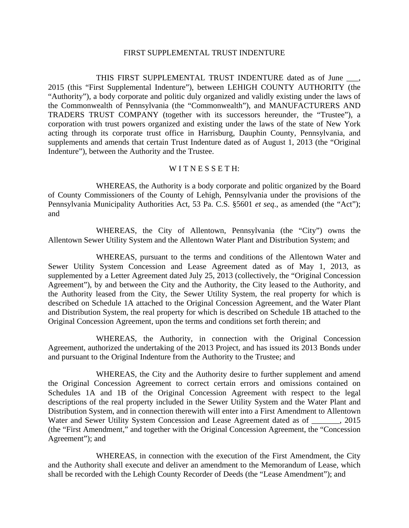#### FIRST SUPPLEMENTAL TRUST INDENTURE

THIS FIRST SUPPLEMENTAL TRUST INDENTURE dated as of June \_\_\_, 2015 (this "First Supplemental Indenture"), between LEHIGH COUNTY AUTHORITY (the "Authority"), a body corporate and politic duly organized and validly existing under the laws of the Commonwealth of Pennsylvania (the "Commonwealth"), and MANUFACTURERS AND TRADERS TRUST COMPANY (together with its successors hereunder, the "Trustee"), a corporation with trust powers organized and existing under the laws of the state of New York acting through its corporate trust office in Harrisburg, Dauphin County, Pennsylvania, and supplements and amends that certain Trust Indenture dated as of August 1, 2013 (the "Original Indenture"), between the Authority and the Trustee.

### WITNESSETH:

WHEREAS, the Authority is a body corporate and politic organized by the Board of County Commissioners of the County of Lehigh, Pennsylvania under the provisions of the Pennsylvania Municipality Authorities Act, 53 Pa. C.S. §5601 *et seq*., as amended (the "Act"); and

WHEREAS, the City of Allentown, Pennsylvania (the "City") owns the Allentown Sewer Utility System and the Allentown Water Plant and Distribution System; and

WHEREAS, pursuant to the terms and conditions of the Allentown Water and Sewer Utility System Concession and Lease Agreement dated as of May 1, 2013, as supplemented by a Letter Agreement dated July 25, 2013 (collectively, the "Original Concession Agreement"), by and between the City and the Authority, the City leased to the Authority, and the Authority leased from the City, the Sewer Utility System, the real property for which is described on Schedule 1A attached to the Original Concession Agreement, and the Water Plant and Distribution System, the real property for which is described on Schedule 1B attached to the Original Concession Agreement, upon the terms and conditions set forth therein; and

WHEREAS, the Authority, in connection with the Original Concession Agreement, authorized the undertaking of the 2013 Project, and has issued its 2013 Bonds under and pursuant to the Original Indenture from the Authority to the Trustee; and

WHEREAS, the City and the Authority desire to further supplement and amend the Original Concession Agreement to correct certain errors and omissions contained on Schedules 1A and 1B of the Original Concession Agreement with respect to the legal descriptions of the real property included in the Sewer Utility System and the Water Plant and Distribution System, and in connection therewith will enter into a First Amendment to Allentown Water and Sewer Utility System Concession and Lease Agreement dated as of  $\qquad \qquad , 2015$ (the "First Amendment," and together with the Original Concession Agreement, the "Concession Agreement"); and

WHEREAS, in connection with the execution of the First Amendment, the City and the Authority shall execute and deliver an amendment to the Memorandum of Lease, which shall be recorded with the Lehigh County Recorder of Deeds (the "Lease Amendment"); and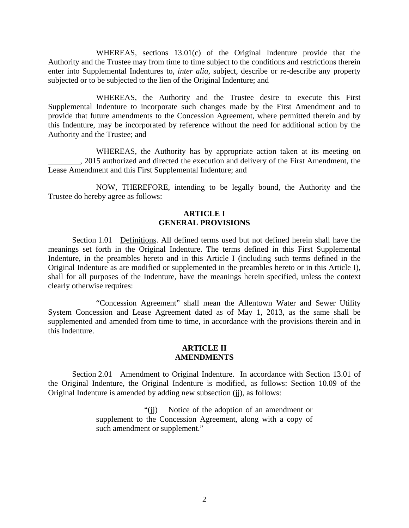WHEREAS, sections 13.01(c) of the Original Indenture provide that the Authority and the Trustee may from time to time subject to the conditions and restrictions therein enter into Supplemental Indentures to, *inter alia*, subject, describe or re-describe any property subjected or to be subjected to the lien of the Original Indenture; and

WHEREAS, the Authority and the Trustee desire to execute this First Supplemental Indenture to incorporate such changes made by the First Amendment and to provide that future amendments to the Concession Agreement, where permitted therein and by this Indenture, may be incorporated by reference without the need for additional action by the Authority and the Trustee; and

WHEREAS, the Authority has by appropriate action taken at its meeting on \_\_\_\_\_\_\_\_, 2015 authorized and directed the execution and delivery of the First Amendment, the Lease Amendment and this First Supplemental Indenture; and

NOW, THEREFORE, intending to be legally bound, the Authority and the Trustee do hereby agree as follows:

# **ARTICLE I GENERAL PROVISIONS**

Section 1.01 Definitions. All defined terms used but not defined herein shall have the meanings set forth in the Original Indenture. The terms defined in this First Supplemental Indenture, in the preambles hereto and in this Article I (including such terms defined in the Original Indenture as are modified or supplemented in the preambles hereto or in this Article I), shall for all purposes of the Indenture, have the meanings herein specified, unless the context clearly otherwise requires:

"Concession Agreement" shall mean the Allentown Water and Sewer Utility System Concession and Lease Agreement dated as of May 1, 2013, as the same shall be supplemented and amended from time to time, in accordance with the provisions therein and in this Indenture.

#### **ARTICLE II AMENDMENTS**

Section 2.01 Amendment to Original Indenture. In accordance with Section 13.01 of the Original Indenture, the Original Indenture is modified, as follows: Section 10.09 of the Original Indenture is amended by adding new subsection (jj), as follows:

> "(jj) Notice of the adoption of an amendment or supplement to the Concession Agreement, along with a copy of such amendment or supplement."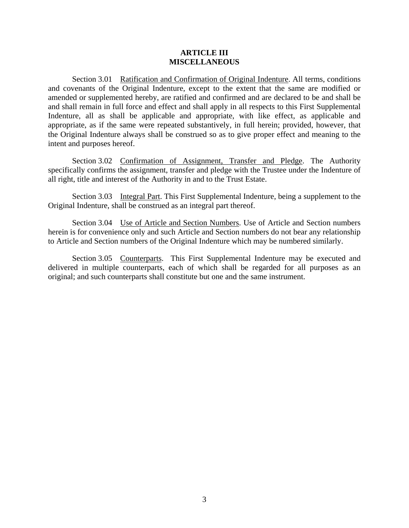#### **ARTICLE III MISCELLANEOUS**

Section 3.01 Ratification and Confirmation of Original Indenture. All terms, conditions and covenants of the Original Indenture, except to the extent that the same are modified or amended or supplemented hereby, are ratified and confirmed and are declared to be and shall be and shall remain in full force and effect and shall apply in all respects to this First Supplemental Indenture, all as shall be applicable and appropriate, with like effect, as applicable and appropriate, as if the same were repeated substantively, in full herein; provided, however, that the Original Indenture always shall be construed so as to give proper effect and meaning to the intent and purposes hereof.

Section 3.02 Confirmation of Assignment, Transfer and Pledge. The Authority specifically confirms the assignment, transfer and pledge with the Trustee under the Indenture of all right, title and interest of the Authority in and to the Trust Estate.

Section 3.03 Integral Part. This First Supplemental Indenture, being a supplement to the Original Indenture, shall be construed as an integral part thereof.

Section 3.04 Use of Article and Section Numbers. Use of Article and Section numbers herein is for convenience only and such Article and Section numbers do not bear any relationship to Article and Section numbers of the Original Indenture which may be numbered similarly.

Section 3.05 Counterparts. This First Supplemental Indenture may be executed and delivered in multiple counterparts, each of which shall be regarded for all purposes as an original; and such counterparts shall constitute but one and the same instrument.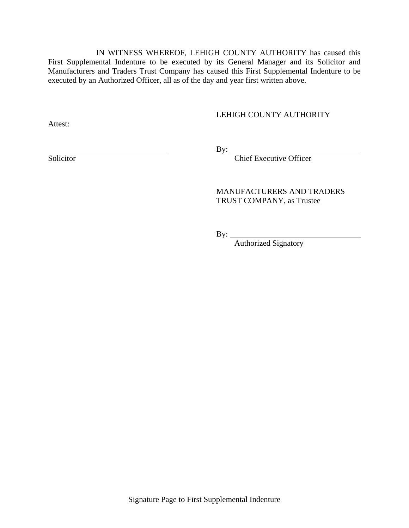IN WITNESS WHEREOF, LEHIGH COUNTY AUTHORITY has caused this First Supplemental Indenture to be executed by its General Manager and its Solicitor and Manufacturers and Traders Trust Company has caused this First Supplemental Indenture to be executed by an Authorized Officer, all as of the day and year first written above.

# LEHIGH COUNTY AUTHORITY

Attest:

 $\overline{By:}$ 

Solicitor By: <u>Chief Executive Officer</u>

# MANUFACTURERS AND TRADERS TRUST COMPANY, as Trustee

By:

Authorized Signatory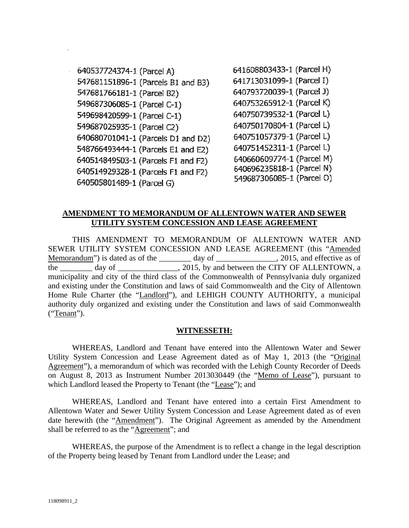640537724374-1 (Parcel A) 547681151896-1 (Parcels B1 and B3) 547681766181-1 (Parcel B2) 549687306085-1 (Parcel C-1) 549698420599-1 (Parcel C-1) 549687025935-1 (Parcel C2) 640680701041-1 (Parcels D1 and D2) 548766493444-1 (Parcels E1 and E2) 640514849503-1 (Parcels F1 and F2) 640514929328-1 (Parcels F1 and F2) 640505801489-1 (Parcel G)

641608803433-1 (Parcel H) 641713031099-1 (Parcel I) 640793720039-1 (Parcel J) 640753265912-1 (Parcel K) 640750739532-1 (Parcel L) 640750170804-1 (Parcel L) 640751057379-1 (Parcel L) 640751452311-1 (Parcel L) 640660609774-1 (Parcel M) 640696235818-1 (Parcel N) 549687306085-1 (Parcel O)

# **AMENDMENT TO MEMORANDUM OF ALLENTOWN WATER AND SEWER UTILITY SYSTEM CONCESSION AND LEASE AGREEMENT**

THIS AMENDMENT TO MEMORANDUM OF ALLENTOWN WATER AND SEWER UTILITY SYSTEM CONCESSION AND LEASE AGREEMENT (this "Amended Memorandum") is dated as of the \_\_\_\_\_\_\_ day of \_\_\_\_\_\_\_\_\_\_\_\_\_, 2015, and effective as of the \_\_\_\_\_\_\_\_ day of \_\_\_\_\_\_\_\_\_\_\_\_\_, 2015, by and between the CITY OF ALLENTOWN, a municipality and city of the third class of the Commonwealth of Pennsylvania duly organized and existing under the Constitution and laws of said Commonwealth and the City of Allentown Home Rule Charter (the "Landlord"), and LEHIGH COUNTY AUTHORITY, a municipal authority duly organized and existing under the Constitution and laws of said Commonwealth ("Tenant").

# **WITNESSETH:**

WHEREAS, Landlord and Tenant have entered into the Allentown Water and Sewer Utility System Concession and Lease Agreement dated as of May 1, 2013 (the "Original Agreement"), a memorandum of which was recorded with the Lehigh County Recorder of Deeds on August 8, 2013 as Instrument Number 2013030449 (the "Memo of Lease"), pursuant to which Landlord leased the Property to Tenant (the "Lease"); and

WHEREAS, Landlord and Tenant have entered into a certain First Amendment to Allentown Water and Sewer Utility System Concession and Lease Agreement dated as of even date herewith (the "Amendment"). The Original Agreement as amended by the Amendment shall be referred to as the "Agreement"; and

WHEREAS, the purpose of the Amendment is to reflect a change in the legal description of the Property being leased by Tenant from Landlord under the Lease; and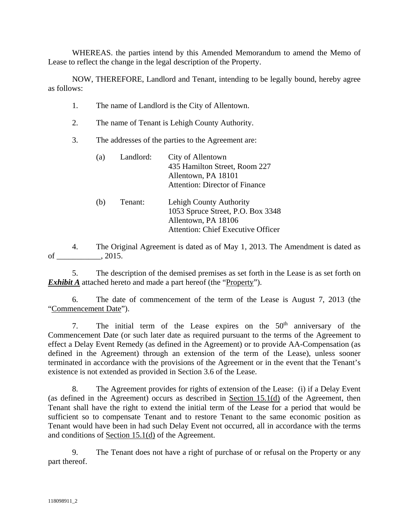WHEREAS. the parties intend by this Amended Memorandum to amend the Memo of Lease to reflect the change in the legal description of the Property.

NOW, THEREFORE, Landlord and Tenant, intending to be legally bound, hereby agree as follows:

- 1. The name of Landlord is the City of Allentown.
- 2. The name of Tenant is Lehigh County Authority.
- 3. The addresses of the parties to the Agreement are:

| (a) | Landlord: | City of Allentown<br>435 Hamilton Street, Room 227<br>Allentown, PA 18101<br><b>Attention: Director of Finance</b>        |
|-----|-----------|---------------------------------------------------------------------------------------------------------------------------|
| (b) | Tenant:   | Lehigh County Authority<br>1053 Spruce Street, P.O. Box 3348<br>Allentown, PA 18106<br>Attention: Chief Executive Officer |

4. The Original Agreement is dated as of May 1, 2013. The Amendment is dated as of \_\_\_\_\_\_\_\_\_\_\_, 2015.

5. The description of the demised premises as set forth in the Lease is as set forth on *Exhibit A* attached hereto and made a part hereof (the "Property").

6. The date of commencement of the term of the Lease is August 7, 2013 (the "Commencement Date").

7. The initial term of the Lease expires on the  $50<sup>th</sup>$  anniversary of the Commencement Date (or such later date as required pursuant to the terms of the Agreement to effect a Delay Event Remedy (as defined in the Agreement) or to provide AA-Compensation (as defined in the Agreement) through an extension of the term of the Lease), unless sooner terminated in accordance with the provisions of the Agreement or in the event that the Tenant's existence is not extended as provided in Section 3.6 of the Lease.

8. The Agreement provides for rights of extension of the Lease: (i) if a Delay Event (as defined in the Agreement) occurs as described in Section 15.1(d) of the Agreement, then Tenant shall have the right to extend the initial term of the Lease for a period that would be sufficient so to compensate Tenant and to restore Tenant to the same economic position as Tenant would have been in had such Delay Event not occurred, all in accordance with the terms and conditions of Section 15.1(d) of the Agreement.

9. The Tenant does not have a right of purchase of or refusal on the Property or any part thereof.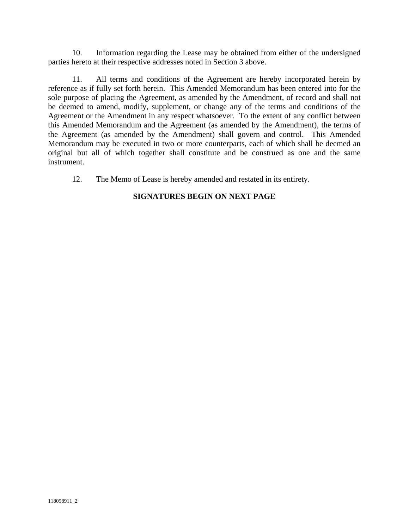10. Information regarding the Lease may be obtained from either of the undersigned parties hereto at their respective addresses noted in Section 3 above.

11. All terms and conditions of the Agreement are hereby incorporated herein by reference as if fully set forth herein. This Amended Memorandum has been entered into for the sole purpose of placing the Agreement, as amended by the Amendment, of record and shall not be deemed to amend, modify, supplement, or change any of the terms and conditions of the Agreement or the Amendment in any respect whatsoever. To the extent of any conflict between this Amended Memorandum and the Agreement (as amended by the Amendment), the terms of the Agreement (as amended by the Amendment) shall govern and control. This Amended Memorandum may be executed in two or more counterparts, each of which shall be deemed an original but all of which together shall constitute and be construed as one and the same instrument.

12. The Memo of Lease is hereby amended and restated in its entirety.

# **SIGNATURES BEGIN ON NEXT PAGE**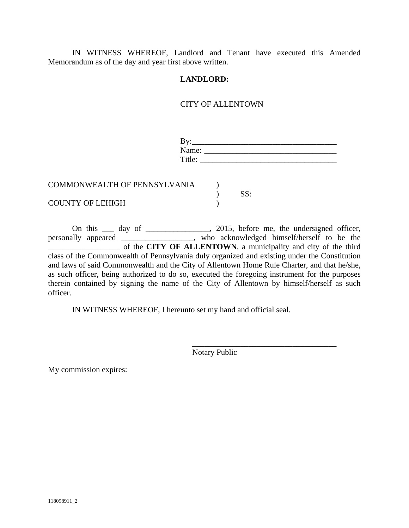IN WITNESS WHEREOF, Landlord and Tenant have executed this Amended Memorandum as of the day and year first above written.

# **LANDLORD:**

# CITY OF ALLENTOWN

| Bv:<br>Name:                 |     |  |
|------------------------------|-----|--|
| Title:                       |     |  |
| COMMONWEALTH OF PENNSYLVANIA | SS: |  |
| <b>COUNTY OF LEHIGH</b>      |     |  |

On this <u>equilibrary</u> day of <u>equilibrary 2015</u>, before me, the undersigned officer, personally appeared \_\_\_\_\_\_\_\_\_\_\_\_\_\_\_\_\_\_, who acknowledged himself/herself to be the \_\_\_\_\_\_\_\_\_\_\_\_\_\_\_\_\_\_ of the **CITY OF ALLENTOWN**, a municipality and city of the third class of the Commonwealth of Pennsylvania duly organized and existing under the Constitution and laws of said Commonwealth and the City of Allentown Home Rule Charter, and that he/she, as such officer, being authorized to do so, executed the foregoing instrument for the purposes therein contained by signing the name of the City of Allentown by himself/herself as such officer.

IN WITNESS WHEREOF, I hereunto set my hand and official seal.

Notary Public

\_\_\_\_\_\_\_\_\_\_\_\_\_\_\_\_\_\_\_\_\_\_\_\_\_\_\_\_\_\_\_\_\_\_\_\_

My commission expires: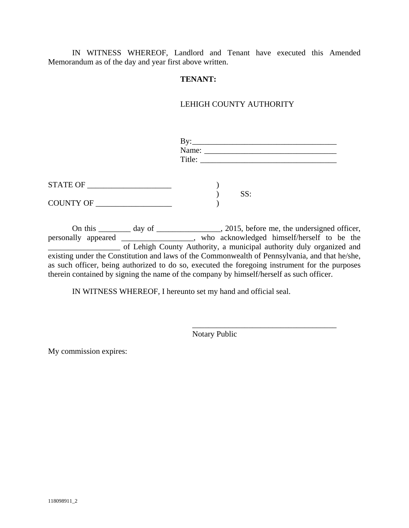IN WITNESS WHEREOF, Landlord and Tenant have executed this Amended Memorandum as of the day and year first above written.

# **TENANT:**

# LEHIGH COUNTY AUTHORITY

|                  | $\mathbf{B} \mathbf{v}$ :<br>Name:<br>Title: |     |
|------------------|----------------------------------------------|-----|
| STATE OF         |                                              |     |
| COUNTY OF ______ |                                              | SS: |

On this \_\_\_\_\_\_\_ day of \_\_\_\_\_\_\_\_\_\_\_\_\_\_, 2015, before me, the undersigned officer, personally appeared \_\_\_\_\_\_\_\_\_\_\_\_\_\_\_\_\_\_, who acknowledged himself/herself to be the \_\_\_\_\_\_\_\_\_\_\_\_\_\_\_\_\_\_ of Lehigh County Authority, a municipal authority duly organized and existing under the Constitution and laws of the Commonwealth of Pennsylvania, and that he/she, as such officer, being authorized to do so, executed the foregoing instrument for the purposes therein contained by signing the name of the company by himself/herself as such officer.

IN WITNESS WHEREOF, I hereunto set my hand and official seal.

Notary Public

\_\_\_\_\_\_\_\_\_\_\_\_\_\_\_\_\_\_\_\_\_\_\_\_\_\_\_\_\_\_\_\_\_\_\_\_

My commission expires: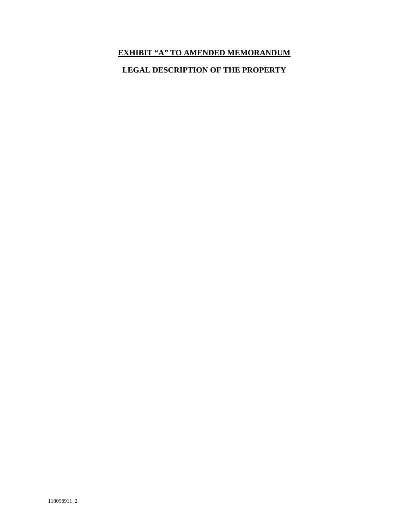# **EXHIBIT "A" TO AMENDED MEMORANDUM**

# **LEGAL DESCRIPTION OF THE PROPERTY**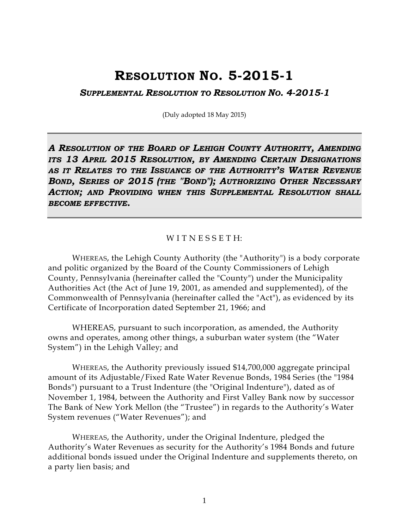# **RESOLUTION NO. 5-2015-1**

*SUPPLEMENTAL RESOLUTION TO RESOLUTION NO. 4-2015-1* 

(Duly adopted 18 May 2015)

*A RESOLUTION OF THE BOARD OF LEHIGH COUNTY AUTHORITY, AMENDING ITS 13 APRIL 2015 RESOLUTION, BY AMENDING CERTAIN DESIGNATIONS AS IT RELATES TO THE ISSUANCE OF THE AUTHORITY'S WATER REVENUE BOND, SERIES OF 2015 (THE "BOND"); AUTHORIZING OTHER NECESSARY ACTION; AND PROVIDING WHEN THIS SUPPLEMENTAL RESOLUTION SHALL BECOME EFFECTIVE.* 

#### WITNESSETH:

 WHEREAS, the Lehigh County Authority (the "Authority") is a body corporate and politic organized by the Board of the County Commissioners of Lehigh County, Pennsylvania (hereinafter called the "County") under the Municipality Authorities Act (the Act of June 19, 2001, as amended and supplemented), of the Commonwealth of Pennsylvania (hereinafter called the "Act"), as evidenced by its Certificate of Incorporation dated September 21, 1966; and

 WHEREAS, pursuant to such incorporation, as amended, the Authority owns and operates, among other things, a suburban water system (the "Water System") in the Lehigh Valley; and

WHEREAS, the Authority previously issued \$14,700,000 aggregate principal amount of its Adjustable/Fixed Rate Water Revenue Bonds, 1984 Series (the "1984 Bonds") pursuant to a Trust Indenture (the "Original Indenture"), dated as of November 1, 1984, between the Authority and First Valley Bank now by successor The Bank of New York Mellon (the "Trustee") in regards to the Authority's Water System revenues ("Water Revenues"); and

WHEREAS, the Authority, under the Original Indenture, pledged the Authority's Water Revenues as security for the Authority's 1984 Bonds and future additional bonds issued under the Original Indenture and supplements thereto, on a party lien basis; and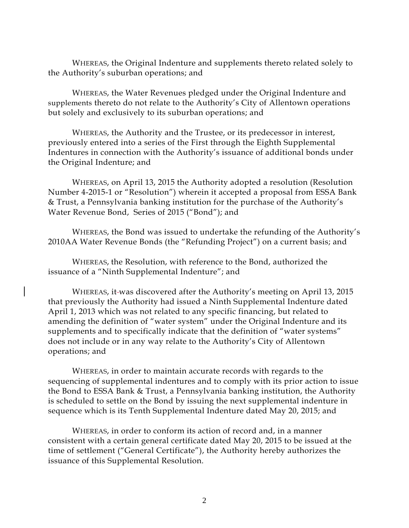WHEREAS, the Original Indenture and supplements thereto related solely to the Authority's suburban operations; and

WHEREAS, the Water Revenues pledged under the Original Indenture and supplements thereto do not relate to the Authority's City of Allentown operations but solely and exclusively to its suburban operations; and

WHEREAS, the Authority and the Trustee, or its predecessor in interest, previously entered into a series of the First through the Eighth Supplemental Indentures in connection with the Authority's issuance of additional bonds under the Original Indenture; and

WHEREAS, on April 13, 2015 the Authority adopted a resolution (Resolution Number 4-2015-1 or "Resolution") wherein it accepted a proposal from ESSA Bank & Trust, a Pennsylvania banking institution for the purchase of the Authority's Water Revenue Bond, Series of 2015 ("Bond"); and

 WHEREAS, the Bond was issued to undertake the refunding of the Authority's 2010AA Water Revenue Bonds (the "Refunding Project") on a current basis; and

 WHEREAS, the Resolution, with reference to the Bond, authorized the issuance of a "Ninth Supplemental Indenture"; and

 WHEREAS, it was discovered after the Authority's meeting on April 13, 2015 that previously the Authority had issued a Ninth Supplemental Indenture dated April 1, 2013 which was not related to any specific financing, but related to amending the definition of "water system" under the Original Indenture and its supplements and to specifically indicate that the definition of "water systems" does not include or in any way relate to the Authority's City of Allentown operations; and

WHEREAS, in order to maintain accurate records with regards to the sequencing of supplemental indentures and to comply with its prior action to issue the Bond to ESSA Bank & Trust, a Pennsylvania banking institution, the Authority is scheduled to settle on the Bond by issuing the next supplemental indenture in sequence which is its Tenth Supplemental Indenture dated May 20, 2015; and

 WHEREAS, in order to conform its action of record and, in a manner consistent with a certain general certificate dated May 20, 2015 to be issued at the time of settlement ("General Certificate"), the Authority hereby authorizes the issuance of this Supplemental Resolution.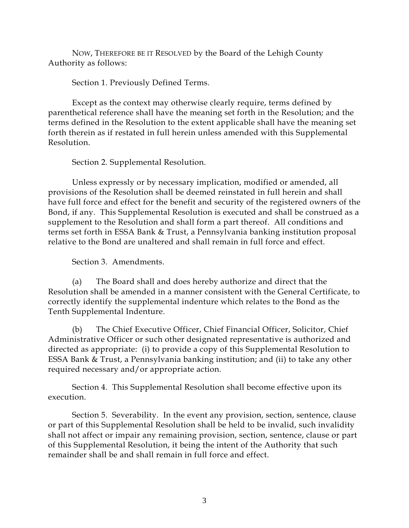NOW, THEREFORE BE IT RESOLVED by the Board of the Lehigh County Authority as follows:

Section 1. Previously Defined Terms.

Except as the context may otherwise clearly require, terms defined by parenthetical reference shall have the meaning set forth in the Resolution; and the terms defined in the Resolution to the extent applicable shall have the meaning set forth therein as if restated in full herein unless amended with this Supplemental Resolution.

Section 2. Supplemental Resolution.

Unless expressly or by necessary implication, modified or amended, all provisions of the Resolution shall be deemed reinstated in full herein and shall have full force and effect for the benefit and security of the registered owners of the Bond, if any. This Supplemental Resolution is executed and shall be construed as a supplement to the Resolution and shall form a part thereof. All conditions and terms set forth in ESSA Bank & Trust, a Pennsylvania banking institution proposal relative to the Bond are unaltered and shall remain in full force and effect.

Section 3. Amendments.

(a) The Board shall and does hereby authorize and direct that the Resolution shall be amended in a manner consistent with the General Certificate, to correctly identify the supplemental indenture which relates to the Bond as the Tenth Supplemental Indenture.

(b) The Chief Executive Officer, Chief Financial Officer, Solicitor, Chief Administrative Officer or such other designated representative is authorized and directed as appropriate: (i) to provide a copy of this Supplemental Resolution to ESSA Bank & Trust, a Pennsylvania banking institution; and (ii) to take any other required necessary and/or appropriate action.

Section 4. This Supplemental Resolution shall become effective upon its execution.

Section 5. Severability. In the event any provision, section, sentence, clause or part of this Supplemental Resolution shall be held to be invalid, such invalidity shall not affect or impair any remaining provision, section, sentence, clause or part of this Supplemental Resolution, it being the intent of the Authority that such remainder shall be and shall remain in full force and effect.